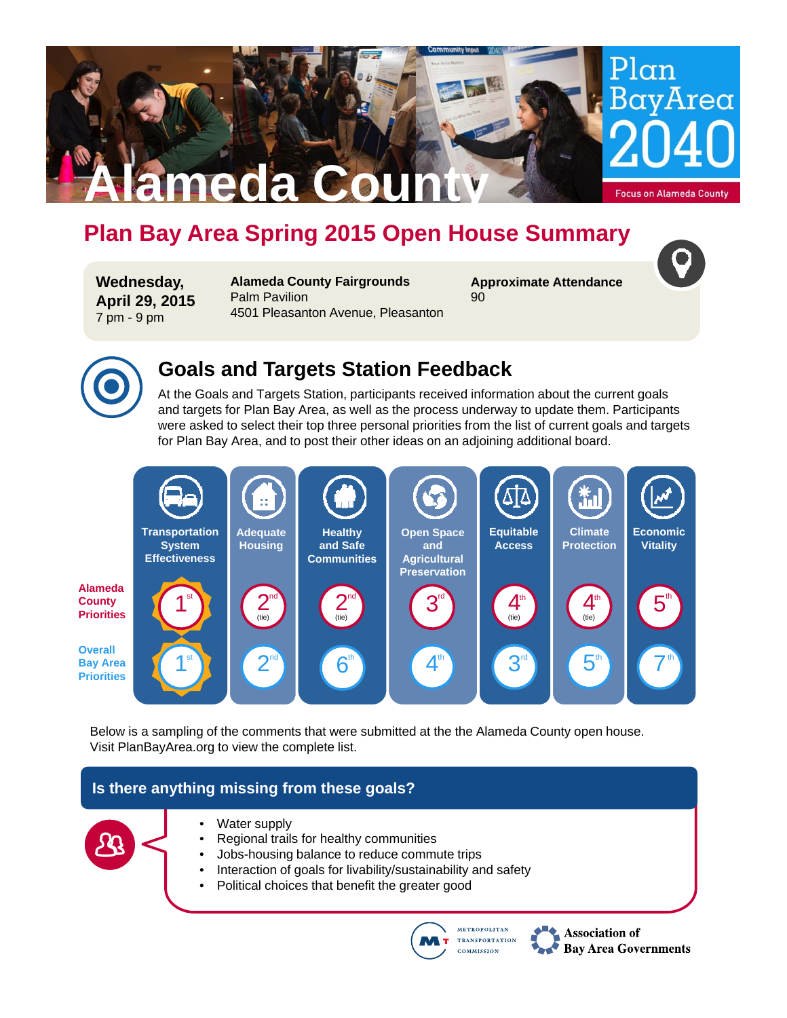# **Plan Bay Area Spring 2015 Open House Summary**

**Wednesday, April 29, 2015** 7 pm - 9 pm

**Alameda County Fairgrounds** Palm Pavilion 4501 Pleasanton Avenue, Pleasanton

**Alameda County**

**Approximate Attendance** 90



 $Plan$ 

BavArea

**Focus on Alameda County** 

### **Goals and Targets Station Feedback**

At the Goals and Targets Station, participants received information about the current goals and targets for Plan Bay Area, as well as the process underway to update them. Participants were asked to select their top three personal priorities from the list of current goals and targets for Plan Bay Area, and to post their other ideas on an adjoining additional board.



Below is a sampling of the comments that were submitted at the the Alameda County open house. Visit PlanBayArea.org to view the complete list.

### **Is there anything missing from these goals?**



- Water supply
- Regional trails for healthy communities
- Jobs-housing balance to reduce commute trips
- Interaction of goals for livability/sustainability and safety
- Political choices that benefit the greater good



**Association of Bay Area Governments**